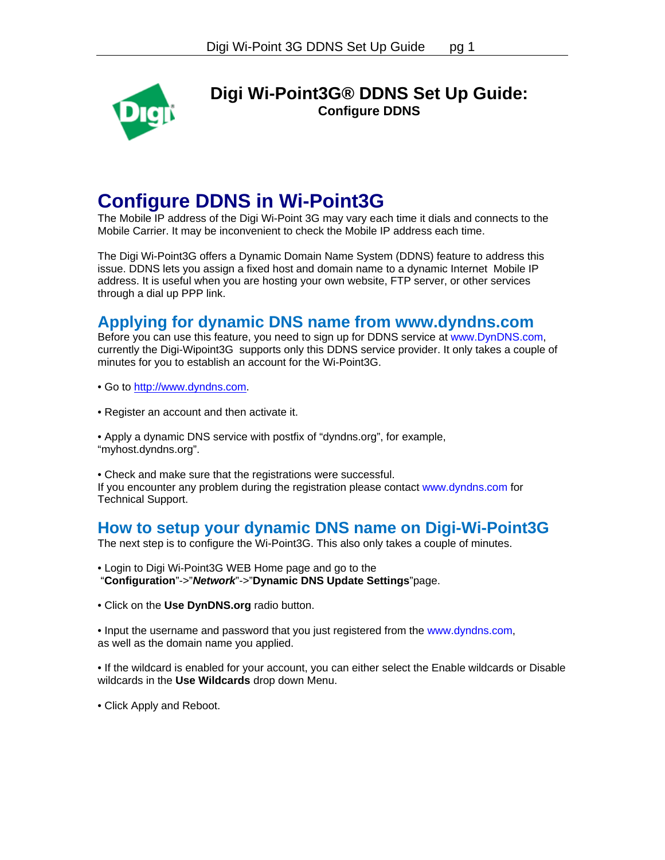

**Digi Wi-Point3G® DDNS Set Up Guide: Configure DDNS** 

## **Configure DDNS in Wi-Point3G**

The Mobile IP address of the Digi Wi-Point 3G may vary each time it dials and connects to the Mobile Carrier. It may be inconvenient to check the Mobile IP address each time.

The Digi Wi-Point3G offers a Dynamic Domain Name System (DDNS) feature to address this issue. DDNS lets you assign a fixed host and domain name to a dynamic Internet Mobile IP address. It is useful when you are hosting your own website, FTP server, or other services through a dial up PPP link.

## **Applying for dynamic DNS name from www.dyndns.com**

Before you can use this feature, you need to sign up for DDNS service at www.DynDNS.com, currently the Digi-Wipoint3G supports only this DDNS service provider. It only takes a couple of minutes for you to establish an account for the Wi-Point3G.

• Go to [http://www.dyndns.com.](http://www.dyndns.com/)

• Register an account and then activate it.

• Apply a dynamic DNS service with postfix of "dyndns.org", for example, "myhost.dyndns.org".

• Check and make sure that the registrations were successful. If you encounter any problem during the registration please contact www.dyndns.com for Technical Support.

## **How to setup your dynamic DNS name on Digi-Wi-Point3G**

The next step is to configure the Wi-Point3G. This also only takes a couple of minutes.

- Login to Digi Wi-Point3G WEB Home page and go to the "**Configuration**"->"*Network*"->"**Dynamic DNS Update Settings**"page.
- Click on the **Use DynDNS.org** radio button.

• Input the username and password that you just registered from the www.dyndns.com, as well as the domain name you applied.

• If the wildcard is enabled for your account, you can either select the Enable wildcards or Disable wildcards in the **Use Wildcards** drop down Menu.

• Click Apply and Reboot.